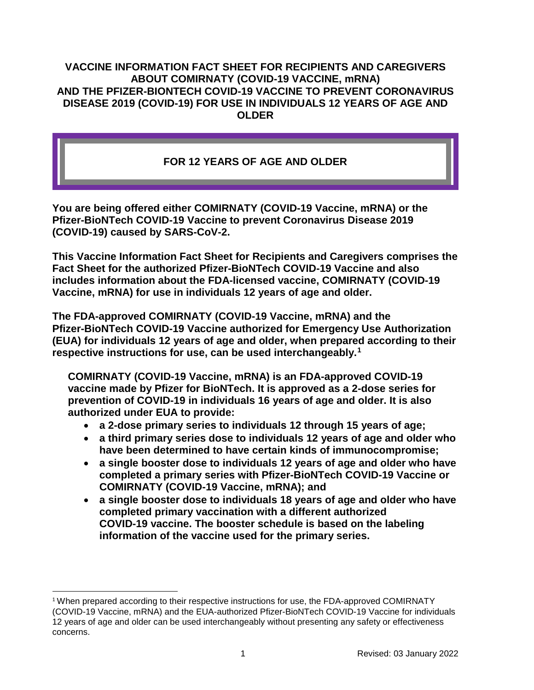#### **VACCINE INFORMATION FACT SHEET FOR RECIPIENTS AND CAREGIVERS ABOUT COMIRNATY (COVID-19 VACCINE, mRNA) AND THE PFIZER-BIONTECH COVID-19 VACCINE TO PREVENT CORONAVIRUS DISEASE 2019 (COVID-19) FOR USE IN INDIVIDUALS 12 YEARS OF AGE AND OLDER**

# **FOR 12 YEARS OF AGE AND OLDER**

**You are being offered either COMIRNATY (COVID-19 Vaccine, mRNA) or the Pfizer-BioNTech COVID-19 Vaccine to prevent Coronavirus Disease 2019 (COVID-19) caused by SARS-CoV-2.**

**This Vaccine Information Fact Sheet for Recipients and Caregivers comprises the Fact Sheet for the authorized Pfizer-BioNTech COVID-19 Vaccine and also includes information about the FDA-licensed vaccine, COMIRNATY (COVID-19 Vaccine, mRNA) for use in individuals 12 years of age and older.** 

**The FDA-approved COMIRNATY (COVID-19 Vaccine, mRNA) and the Pfizer-BioNTech COVID-19 Vaccine authorized for Emergency Use Authorization (EUA) for individuals 12 years of age and older, when prepared according to their respective instructions for use, can be used interchangeably.[1](#page-0-0)**

**COMIRNATY (COVID-19 Vaccine, mRNA) is an FDA-approved COVID-19 vaccine made by Pfizer for BioNTech. It is approved as a 2-dose series for prevention of COVID-19 in individuals 16 years of age and older. It is also authorized under EUA to provide:**

- **a 2-dose primary series to individuals 12 through 15 years of age;**
- **a third primary series dose to individuals 12 years of age and older who have been determined to have certain kinds of immunocompromise;**
- **a single booster dose to individuals 12 years of age and older who have completed a primary series with Pfizer-BioNTech COVID-19 Vaccine or COMIRNATY (COVID-19 Vaccine, mRNA); and**
- **a single booster dose to individuals 18 years of age and older who have completed primary vaccination with a different authorized COVID-19 vaccine. The booster schedule is based on the labeling information of the vaccine used for the primary series.**

<span id="page-0-0"></span><sup>&</sup>lt;sup>1</sup> When prepared according to their respective instructions for use, the FDA-approved COMIRNATY (COVID-19 Vaccine, mRNA) and the EUA-authorized Pfizer-BioNTech COVID-19 Vaccine for individuals 12 years of age and older can be used interchangeably without presenting any safety or effectiveness concerns.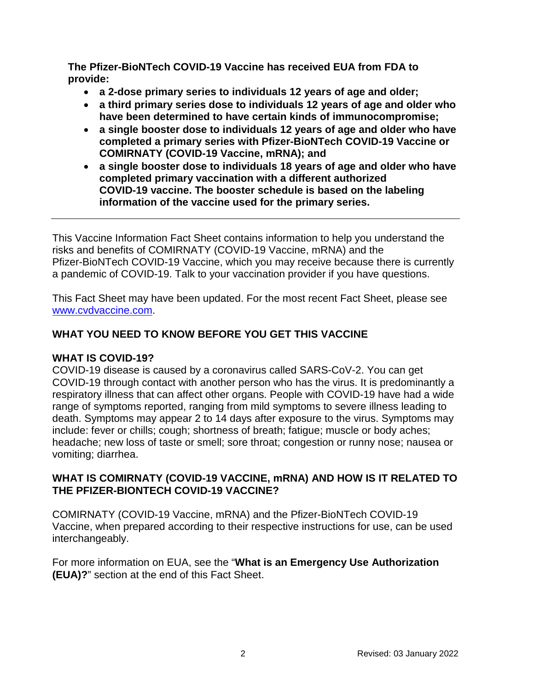**The Pfizer-BioNTech COVID-19 Vaccine has received EUA from FDA to provide:**

- **a 2-dose primary series to individuals 12 years of age and older;**
- **a third primary series dose to individuals 12 years of age and older who have been determined to have certain kinds of immunocompromise;**
- **a single booster dose to individuals 12 years of age and older who have completed a primary series with Pfizer-BioNTech COVID-19 Vaccine or COMIRNATY (COVID-19 Vaccine, mRNA); and**
- **a single booster dose to individuals 18 years of age and older who have completed primary vaccination with a different authorized COVID-19 vaccine. The booster schedule is based on the labeling information of the vaccine used for the primary series.**

This Vaccine Information Fact Sheet contains information to help you understand the risks and benefits of COMIRNATY (COVID-19 Vaccine, mRNA) and the Pfizer-BioNTech COVID-19 Vaccine, which you may receive because there is currently a pandemic of COVID-19. Talk to your vaccination provider if you have questions.

This Fact Sheet may have been updated. For the most recent Fact Sheet, please see [www.cvdvaccine.com.](http://www.cvdvaccine.com/)

# **WHAT YOU NEED TO KNOW BEFORE YOU GET THIS VACCINE**

# **WHAT IS COVID-19?**

COVID-19 disease is caused by a coronavirus called SARS-CoV-2. You can get COVID-19 through contact with another person who has the virus. It is predominantly a respiratory illness that can affect other organs. People with COVID-19 have had a wide range of symptoms reported, ranging from mild symptoms to severe illness leading to death. Symptoms may appear 2 to 14 days after exposure to the virus. Symptoms may include: fever or chills; cough; shortness of breath; fatigue; muscle or body aches; headache; new loss of taste or smell; sore throat; congestion or runny nose; nausea or vomiting; diarrhea.

### **WHAT IS COMIRNATY (COVID-19 VACCINE, mRNA) AND HOW IS IT RELATED TO THE PFIZER-BIONTECH COVID-19 VACCINE?**

COMIRNATY (COVID-19 Vaccine, mRNA) and the Pfizer-BioNTech COVID-19 Vaccine, when prepared according to their respective instructions for use, can be used interchangeably.

For more information on EUA, see the "**What is an Emergency Use Authorization (EUA)?**" section at the end of this Fact Sheet.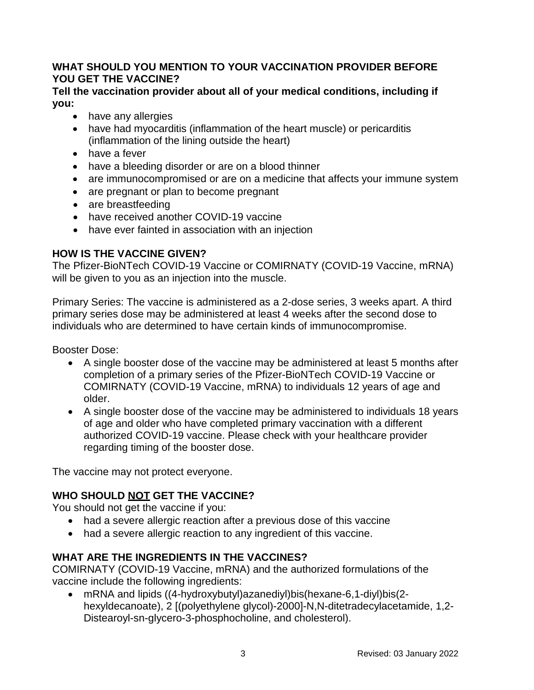### **WHAT SHOULD YOU MENTION TO YOUR VACCINATION PROVIDER BEFORE YOU GET THE VACCINE?**

#### **Tell the vaccination provider about all of your medical conditions, including if you:**

- have any allergies
- have had myocarditis (inflammation of the heart muscle) or pericarditis (inflammation of the lining outside the heart)
- have a fever
- have a bleeding disorder or are on a blood thinner
- are immunocompromised or are on a medicine that affects your immune system
- are pregnant or plan to become pregnant
- are breastfeeding
- have received another COVID-19 vaccine
- have ever fainted in association with an injection

# **HOW IS THE VACCINE GIVEN?**

The Pfizer-BioNTech COVID-19 Vaccine or COMIRNATY (COVID-19 Vaccine, mRNA) will be given to you as an injection into the muscle.

Primary Series: The vaccine is administered as a 2-dose series, 3 weeks apart. A third primary series dose may be administered at least 4 weeks after the second dose to individuals who are determined to have certain kinds of immunocompromise.

Booster Dose:

- A single booster dose of the vaccine may be administered at least 5 months after completion of a primary series of the Pfizer-BioNTech COVID-19 Vaccine or COMIRNATY (COVID-19 Vaccine, mRNA) to individuals 12 years of age and older.
- A single booster dose of the vaccine may be administered to individuals 18 years of age and older who have completed primary vaccination with a different authorized COVID-19 vaccine. Please check with your healthcare provider regarding timing of the booster dose.

The vaccine may not protect everyone.

# **WHO SHOULD NOT GET THE VACCINE?**

You should not get the vaccine if you:

- had a severe allergic reaction after a previous dose of this vaccine
- had a severe allergic reaction to any ingredient of this vaccine.

# **WHAT ARE THE INGREDIENTS IN THE VACCINES?**

COMIRNATY (COVID-19 Vaccine, mRNA) and the authorized formulations of the vaccine include the following ingredients:

• mRNA and lipids ((4-hydroxybutyl)azanediyl)bis(hexane-6,1-diyl)bis(2 hexyldecanoate), 2 [(polyethylene glycol)-2000]-N,N-ditetradecylacetamide, 1,2- Distearoyl-sn-glycero-3-phosphocholine, and cholesterol).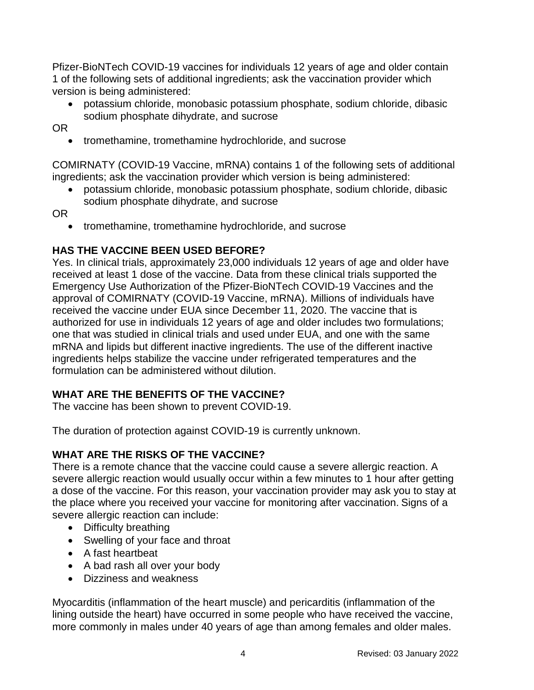Pfizer-BioNTech COVID-19 vaccines for individuals 12 years of age and older contain 1 of the following sets of additional ingredients; ask the vaccination provider which version is being administered:

• potassium chloride, monobasic potassium phosphate, sodium chloride, dibasic sodium phosphate dihydrate, and sucrose

OR

• tromethamine, tromethamine hydrochloride, and sucrose

COMIRNATY (COVID-19 Vaccine, mRNA) contains 1 of the following sets of additional ingredients; ask the vaccination provider which version is being administered:

• potassium chloride, monobasic potassium phosphate, sodium chloride, dibasic sodium phosphate dihydrate, and sucrose

OR

• tromethamine, tromethamine hydrochloride, and sucrose

# **HAS THE VACCINE BEEN USED BEFORE?**

Yes. In clinical trials, approximately 23,000 individuals 12 years of age and older have received at least 1 dose of the vaccine. Data from these clinical trials supported the Emergency Use Authorization of the Pfizer-BioNTech COVID-19 Vaccines and the approval of COMIRNATY (COVID-19 Vaccine, mRNA). Millions of individuals have received the vaccine under EUA since December 11, 2020. The vaccine that is authorized for use in individuals 12 years of age and older includes two formulations; one that was studied in clinical trials and used under EUA, and one with the same mRNA and lipids but different inactive ingredients. The use of the different inactive ingredients helps stabilize the vaccine under refrigerated temperatures and the formulation can be administered without dilution.

# **WHAT ARE THE BENEFITS OF THE VACCINE?**

The vaccine has been shown to prevent COVID-19.

The duration of protection against COVID-19 is currently unknown.

# **WHAT ARE THE RISKS OF THE VACCINE?**

There is a remote chance that the vaccine could cause a severe allergic reaction. A severe allergic reaction would usually occur within a few minutes to 1 hour after getting a dose of the vaccine. For this reason, your vaccination provider may ask you to stay at the place where you received your vaccine for monitoring after vaccination. Signs of a severe allergic reaction can include:

- Difficulty breathing
- Swelling of your face and throat
- A fast heartbeat
- A bad rash all over your body
- Dizziness and weakness

Myocarditis (inflammation of the heart muscle) and pericarditis (inflammation of the lining outside the heart) have occurred in some people who have received the vaccine, more commonly in males under 40 years of age than among females and older males.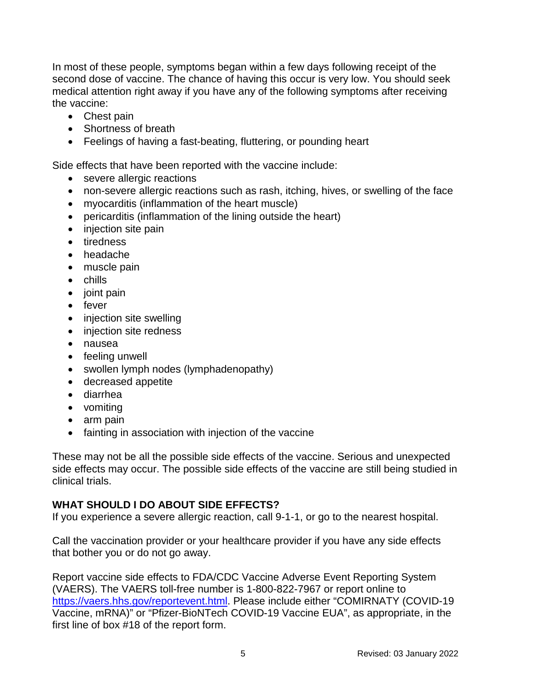In most of these people, symptoms began within a few days following receipt of the second dose of vaccine. The chance of having this occur is very low. You should seek medical attention right away if you have any of the following symptoms after receiving the vaccine:

- Chest pain
- Shortness of breath
- Feelings of having a fast-beating, fluttering, or pounding heart

Side effects that have been reported with the vaccine include:

- severe allergic reactions
- non-severe allergic reactions such as rash, itching, hives, or swelling of the face
- myocarditis (inflammation of the heart muscle)
- pericarditis (inflammation of the lining outside the heart)
- injection site pain
- tiredness
- headache
- muscle pain
- chills
- joint pain
- fever
- injection site swelling
- injection site redness
- nausea
- feeling unwell
- swollen lymph nodes (lymphadenopathy)
- decreased appetite
- diarrhea
- vomiting
- arm pain
- fainting in association with injection of the vaccine

These may not be all the possible side effects of the vaccine. Serious and unexpected side effects may occur. The possible side effects of the vaccine are still being studied in clinical trials.

#### **WHAT SHOULD I DO ABOUT SIDE EFFECTS?**

If you experience a severe allergic reaction, call 9-1-1, or go to the nearest hospital.

Call the vaccination provider or your healthcare provider if you have any side effects that bother you or do not go away.

Report vaccine side effects to FDA/CDC Vaccine Adverse Event Reporting System (VAERS). The VAERS toll-free number is 1-800-822-7967 or report online to [https://vaers.hhs.gov/reportevent.html.](https://vaers.hhs.gov/reportevent.html) Please include either "COMIRNATY (COVID-19 Vaccine, mRNA)" or "Pfizer-BioNTech COVID-19 Vaccine EUA", as appropriate, in the first line of box #18 of the report form.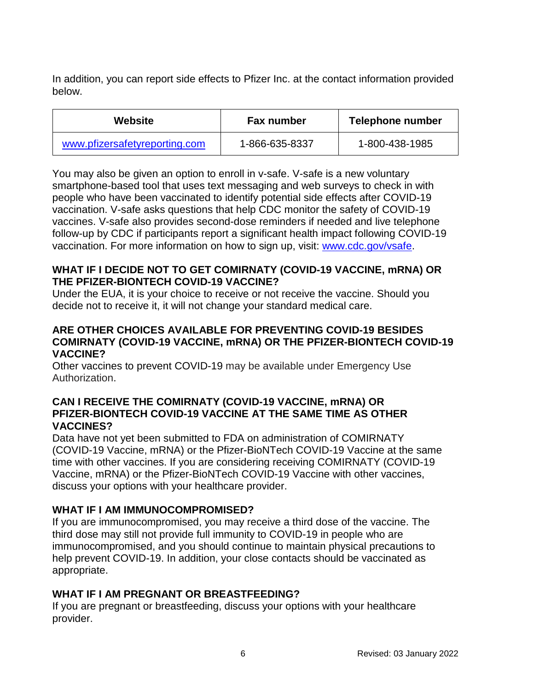In addition, you can report side effects to Pfizer Inc. at the contact information provided below.

| Website                       | <b>Fax number</b> | Telephone number |
|-------------------------------|-------------------|------------------|
| www.pfizersafetyreporting.com | 1-866-635-8337    | 1-800-438-1985   |

You may also be given an option to enroll in v-safe. V-safe is a new voluntary smartphone-based tool that uses text messaging and web surveys to check in with people who have been vaccinated to identify potential side effects after COVID-19 vaccination. V-safe asks questions that help CDC monitor the safety of COVID-19 vaccines. V-safe also provides second-dose reminders if needed and live telephone follow-up by CDC if participants report a significant health impact following COVID-19 vaccination. For more information on how to sign up, visit: [www.cdc.gov/vsafe.](https://urldefense.proofpoint.com/v2/url?u=http-3A__www.cdc.gov_vsafe&d=DwMF-g&c=UE1eNsedaKncO0Yl_u8bfw&r=iggimxFo1bnCoTNHtFHht7zBjWLmMD5xyYOHusHEMRA&m=NUusRcDWxrAYwskpVPikFjIp1YMB1upPlqmEqHLqywo&s=ZgZDg3kpZyGQV82QCF-MKAMdQ9UDWQqf3K-6eMVizRE&e=)

### **WHAT IF I DECIDE NOT TO GET COMIRNATY (COVID-19 VACCINE, mRNA) OR THE PFIZER-BIONTECH COVID-19 VACCINE?**

Under the EUA, it is your choice to receive or not receive the vaccine. Should you decide not to receive it, it will not change your standard medical care.

#### **ARE OTHER CHOICES AVAILABLE FOR PREVENTING COVID-19 BESIDES COMIRNATY (COVID-19 VACCINE, mRNA) OR THE PFIZER-BIONTECH COVID-19 VACCINE?**

Other vaccines to prevent COVID-19 may be available under Emergency Use Authorization.

#### **CAN I RECEIVE THE COMIRNATY (COVID-19 VACCINE, mRNA) OR PFIZER-BIONTECH COVID-19 VACCINE AT THE SAME TIME AS OTHER VACCINES?**

Data have not yet been submitted to FDA on administration of COMIRNATY (COVID-19 Vaccine, mRNA) or the Pfizer-BioNTech COVID-19 Vaccine at the same time with other vaccines. If you are considering receiving COMIRNATY (COVID-19 Vaccine, mRNA) or the Pfizer-BioNTech COVID-19 Vaccine with other vaccines, discuss your options with your healthcare provider.

# **WHAT IF I AM IMMUNOCOMPROMISED?**

If you are immunocompromised, you may receive a third dose of the vaccine. The third dose may still not provide full immunity to COVID-19 in people who are immunocompromised, and you should continue to maintain physical precautions to help prevent COVID-19. In addition, your close contacts should be vaccinated as appropriate.

# **WHAT IF I AM PREGNANT OR BREASTFEEDING?**

If you are pregnant or breastfeeding, discuss your options with your healthcare provider.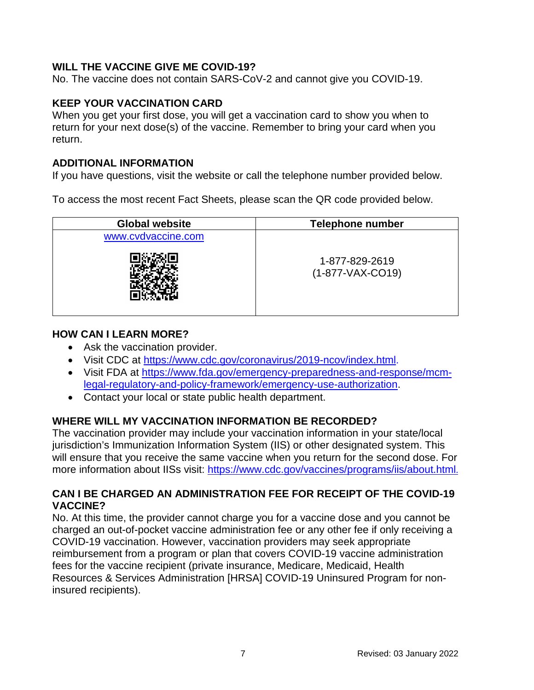### **WILL THE VACCINE GIVE ME COVID-19?**

No. The vaccine does not contain SARS-CoV-2 and cannot give you COVID-19.

#### **KEEP YOUR VACCINATION CARD**

When you get your first dose, you will get a vaccination card to show you when to return for your next dose(s) of the vaccine. Remember to bring your card when you return.

#### **ADDITIONAL INFORMATION**

If you have questions, visit the website or call the telephone number provided below.

To access the most recent Fact Sheets, please scan the QR code provided below.

| <b>Global website</b> | <b>Telephone number</b>              |  |
|-----------------------|--------------------------------------|--|
| www.cvdvaccine.com    |                                      |  |
|                       | 1-877-829-2619<br>$(1-877-VAX-CO19)$ |  |

#### **HOW CAN I LEARN MORE?**

- Ask the vaccination provider.
- Visit CDC at [https://www.cdc.gov/coronavirus/2019-ncov/index.html.](https://www.cdc.gov/coronavirus/2019-ncov/index.html)
- Visit FDA at [https://www.fda.gov/emergency-preparedness-and-response/mcm](https://www.fda.gov/emergency-preparedness-and-response/mcm-legal-regulatory-and-policy-framework/emergency-use-authorization)[legal-regulatory-and-policy-framework/emergency-use-authorization.](https://www.fda.gov/emergency-preparedness-and-response/mcm-legal-regulatory-and-policy-framework/emergency-use-authorization)
- Contact your local or state public health department.

# **WHERE WILL MY VACCINATION INFORMATION BE RECORDED?**

The vaccination provider may include your vaccination information in your state/local jurisdiction's Immunization Information System (IIS) or other designated system. This will ensure that you receive the same vaccine when you return for the second dose. For more information about IISs visit:<https://www.cdc.gov/vaccines/programs/iis/about.html>.

### **CAN I BE CHARGED AN ADMINISTRATION FEE FOR RECEIPT OF THE COVID-19 VACCINE?**

No. At this time, the provider cannot charge you for a vaccine dose and you cannot be charged an out-of-pocket vaccine administration fee or any other fee if only receiving a COVID-19 vaccination. However, vaccination providers may seek appropriate reimbursement from a program or plan that covers COVID-19 vaccine administration fees for the vaccine recipient (private insurance, Medicare, Medicaid, Health Resources & Services Administration [HRSA] COVID-19 Uninsured Program for noninsured recipients).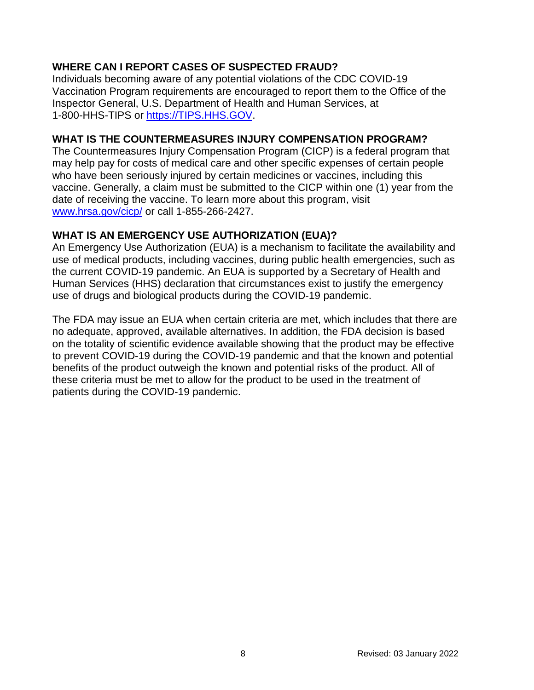# **WHERE CAN I REPORT CASES OF SUSPECTED FRAUD?**

Individuals becoming aware of any potential violations of the CDC COVID-19 Vaccination Program requirements are encouraged to report them to the Office of the Inspector General, U.S. Department of Health and Human Services, at 1-800-HHS-TIPS or [https://TIPS.HHS.GOV.](https://tips.hhs.gov/)

### **WHAT IS THE COUNTERMEASURES INJURY COMPENSATION PROGRAM?**

The Countermeasures Injury Compensation Program (CICP) is a federal program that may help pay for costs of medical care and other specific expenses of certain people who have been seriously injured by certain medicines or vaccines, including this vaccine. Generally, a claim must be submitted to the CICP within one (1) year from the date of receiving the vaccine. To learn more about this program, visit [www.hrsa.gov/cicp/](http://www.hrsa.gov/cicp/) or call 1-855-266-2427.

### **WHAT IS AN EMERGENCY USE AUTHORIZATION (EUA)?**

An Emergency Use Authorization (EUA) is a mechanism to facilitate the availability and use of medical products, including vaccines, during public health emergencies, such as the current COVID-19 pandemic. An EUA is supported by a Secretary of Health and Human Services (HHS) declaration that circumstances exist to justify the emergency use of drugs and biological products during the COVID-19 pandemic.

The FDA may issue an EUA when certain criteria are met, which includes that there are no adequate, approved, available alternatives. In addition, the FDA decision is based on the totality of scientific evidence available showing that the product may be effective to prevent COVID-19 during the COVID-19 pandemic and that the known and potential benefits of the product outweigh the known and potential risks of the product. All of these criteria must be met to allow for the product to be used in the treatment of patients during the COVID-19 pandemic.